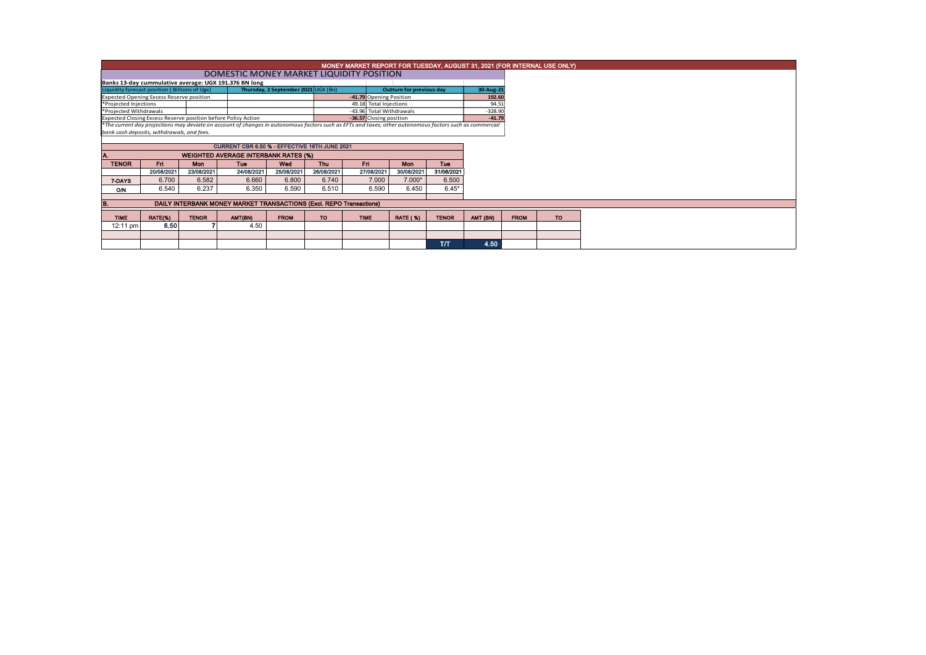| MONEY MARKET REPORT FOR TUESDAY, AUGUST 31, 2021 (FOR INTERNAL USE ONLY) |            |              |                                                                                                                                                          |             |            |                          |                 |              |           |  |             |           |  |  |
|--------------------------------------------------------------------------|------------|--------------|----------------------------------------------------------------------------------------------------------------------------------------------------------|-------------|------------|--------------------------|-----------------|--------------|-----------|--|-------------|-----------|--|--|
|                                                                          |            |              | DOMESTIC MONEY MARKET LIQUIDITY POSITION                                                                                                                 |             |            |                          |                 |              |           |  |             |           |  |  |
|                                                                          |            |              | Banks 13-day cummulative average: UGX 191.376 BN long                                                                                                    |             |            |                          |                 |              |           |  |             |           |  |  |
| Liquidity forecast position (Billions of Ugx)                            |            |              | Outturn for previous day                                                                                                                                 | 30-Aug-21   |            |                          |                 |              |           |  |             |           |  |  |
| <b>Expected Opening Excess Reserve position</b>                          |            |              |                                                                                                                                                          |             |            | -41.79 Opening Position  |                 | 192.60       |           |  |             |           |  |  |
| *Projected Injections                                                    |            |              |                                                                                                                                                          |             |            | 49.18 Total Injections   | 94.51           |              |           |  |             |           |  |  |
| *Projected Withdrawals                                                   |            |              |                                                                                                                                                          |             |            | -43.96 Total Withdrawals |                 |              | $-328.90$ |  |             |           |  |  |
|                                                                          |            |              | Expected Closing Excess Reserve position before Policy Action                                                                                            |             |            | -36.57 Closing position  |                 |              | $-41.79$  |  |             |           |  |  |
|                                                                          |            |              | *The current day projections may deviate on account of changes in autonomous factors such as EFTs and taxes; other autonomous factors such as commercial |             |            |                          |                 |              |           |  |             |           |  |  |
| bank cash deposits, withdrawals, and fees.                               |            |              |                                                                                                                                                          |             |            |                          |                 |              |           |  |             |           |  |  |
| CURRENT CBR 6.50 % - EFFECTIVE 16TH JUNE 2021                            |            |              |                                                                                                                                                          |             |            |                          |                 |              |           |  |             |           |  |  |
|                                                                          |            |              |                                                                                                                                                          |             |            |                          |                 |              |           |  |             |           |  |  |
|                                                                          |            |              | <b>WEIGHTED AVERAGE INTERBANK RATES (%)</b>                                                                                                              |             |            |                          |                 |              |           |  |             |           |  |  |
| <b>TENOR</b>                                                             | <b>Fri</b> | <b>Mon</b>   | Tue                                                                                                                                                      | Wed         | <b>Thu</b> | Fri                      | Mon             | Tue          |           |  |             |           |  |  |
|                                                                          | 20/08/2021 | 23/08/2021   | 24/08/2021                                                                                                                                               | 25/08/2021  | 26/08/2021 | 27/08/2021               | 30/08/2021      | 31/08/2021   |           |  |             |           |  |  |
| 7-DAYS                                                                   | 6.700      | 6.582        | 6.660                                                                                                                                                    | 6.800       | 6.740      | 7.000                    | $7.000*$        | 6.500        |           |  |             |           |  |  |
| <b>O/N</b>                                                               | 6.540      | 6.237        | 6.350                                                                                                                                                    | 6.590       | 6.510      | 6.590                    | 6.450           | $6.45*$      |           |  |             |           |  |  |
|                                                                          |            |              |                                                                                                                                                          |             |            |                          |                 |              |           |  |             |           |  |  |
| B.                                                                       |            |              | DAILY INTERBANK MONEY MARKET TRANSACTIONS (Excl. REPO Transactions)                                                                                      |             |            |                          |                 |              |           |  |             |           |  |  |
| <b>TIME</b>                                                              | RATE(%)    | <b>TENOR</b> | AMT(BN)                                                                                                                                                  | <b>FROM</b> | <b>TO</b>  | <b>TIME</b>              | <b>RATE (%)</b> | <b>TENOR</b> | AMT (BN)  |  | <b>FROM</b> | <b>TO</b> |  |  |
| 12:11 pm                                                                 | 6.50       |              | 4.50                                                                                                                                                     |             |            |                          |                 |              |           |  |             |           |  |  |
|                                                                          |            |              |                                                                                                                                                          |             |            |                          |                 |              |           |  |             |           |  |  |
|                                                                          |            |              |                                                                                                                                                          |             |            |                          |                 | <b>T/T</b>   | 4.50      |  |             |           |  |  |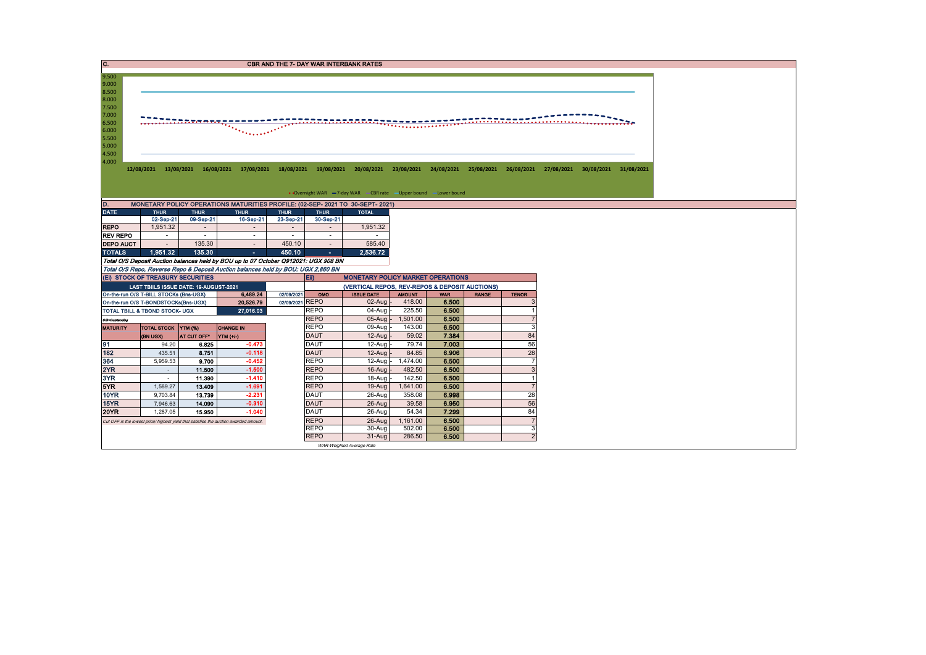| 9.500<br>9.000<br>8.500<br>8.000<br>7.500<br>7.000<br>6.500<br><u>The comment</u><br>6.000<br>5.500<br>5.000<br>4.500<br>4.000<br>12/08/2021 13/08/2021 16/08/2021 17/08/2021 18/08/2021 19/08/2021 20/08/2021 23/08/2021 24/08/2021 25/08/2021 26/08/2021 27/08/2021 30/08/2021 31/08/2021<br>• Overnight WAR -7-day WAR - CBR rate - Upper bound - Lower bound<br>ID.<br>MONETARY POLICY OPERATIONS MATURITIES PROFILE: (02-SEP- 2021 TO 30-SEPT- 2021)<br><b>DATE</b><br><b>THUR</b><br><b>THUR</b><br><b>THUR</b><br><b>THUR</b><br><b>THUR</b><br><b>TOTAL</b><br>09-Sep-21<br>16-Sep-21<br>23-Sep-21<br>02-Sep-21<br>30-Sep-21<br>1.951.32<br>1,951.32<br><b>REPO</b><br>$\sim$<br>$\overline{\phantom{a}}$<br>$\overline{\phantom{a}}$<br>$\overline{\phantom{a}}$<br><b>REV REPO</b><br>$\sim$<br>$\sim$<br>$\sim$<br>$\sim$<br>$\sim$<br>$\sim$<br><b>DEPO AUCT</b><br>135.30<br>585.40<br>450.10<br>$\sim$<br>$\sim$<br>$\sim$<br>1.951.32<br>135.30<br>2.536.72<br><b>TOTALS</b><br>450.10<br>A.<br>×.<br>Total O/S Deposit Auction balances held by BOU up to 07 October Q912021: UGX 908 BN<br>Total O/S Repo, Reverse Repo & Deposit Auction balances held by BOU: UGX 2,860 BN<br>(Ei) STOCK OF TREASURY SECURITIES<br>Eii)<br><b>MONETARY POLICY MARKET OPERATIONS</b><br>LAST TBIILS ISSUE DATE: 19-AUGUST-2021<br>(VERTICAL REPOS, REV-REPOS & DEPOSIT AUCTIONS)<br>6,489.24<br>On-the-run O/S T-BILL STOCKs (Bns-UGX)<br>02/09/2021<br><b>ISSUE DATE</b><br>OMO<br><b>AMOUNT</b><br><b>WAR</b><br><b>RANGE</b><br><b>TENOR</b><br>02/09/2021 REPO<br>418.00<br>6.500<br>$02$ -Aug -<br>On-the-run O/S T-BONDSTOCKs(Bns-UGX)<br>20,526.79<br><b>REPO</b><br>$04 - Aug$<br>225.50<br>6.500<br>27.016.03<br>TOTAL TBILL & TBOND STOCK- UGX<br><b>REPO</b><br>1.501.00<br>6.500<br>$05$ -Aug $-$<br>O/S=Outstanding<br><b>REPO</b><br>09-Aug<br>143.00<br>6.500<br>3<br><b>MATURITY</b><br>TOTAL STOCK YTM (%)<br><b>CHANGE IN</b><br>84<br><b>DAUT</b><br>7.384<br>$12-Auq$<br>59.02<br>(BN UGX)<br>AT CUT OFF*<br><b>YTM</b> (+/)<br><b>DAUT</b><br>56<br>79.74<br>7.003<br>91<br>$-0.473$<br>12-Aug<br>94.20<br>6.825<br>28<br>182<br>$-0.118$<br><b>DAUT</b><br>6.906<br>435.51<br>12-Aug<br>84.85<br>8.751<br>364<br>$-0.452$<br><b>REPO</b><br>1.474.00<br>12-Aug<br>6.500<br>$\overline{7}$<br>5,959.53<br>9.700<br>2YR<br><b>REPO</b><br>$-1.500$<br>482.50<br>6.500<br>3<br>11.500<br>16-Aug<br>$\sim$<br>3YR<br>$-1.410$<br><b>REPO</b><br>142.50<br>6.500<br>11.390<br>$18-Auq$<br>$\overline{1}$<br>$\sim$<br>5YR<br>$-1.691$<br><b>REPO</b><br>6.500<br>13.409<br>19-Aug<br>1,641.00<br>1,589.27<br>$\overline{7}$<br>28<br>10YR<br>$-2.231$<br>DAUT<br>26-Aug<br>358.08<br>6.998<br>9.703.84<br>13.739<br>15YR<br>$-0.310$<br><b>DAUT</b><br>56<br>39.58<br>6.950<br>7,946.63<br>14.090<br>26-Aug<br><b>DAUT</b><br>84<br><b>20YR</b><br>1,287.05<br>$-1.040$<br>26-Aug<br>54.34<br>7.299<br>15,950 | C. |  |  |             | <b>CBR AND THE 7- DAY WAR INTERBANK RATES</b> |          |       |                |  |  |
|----------------------------------------------------------------------------------------------------------------------------------------------------------------------------------------------------------------------------------------------------------------------------------------------------------------------------------------------------------------------------------------------------------------------------------------------------------------------------------------------------------------------------------------------------------------------------------------------------------------------------------------------------------------------------------------------------------------------------------------------------------------------------------------------------------------------------------------------------------------------------------------------------------------------------------------------------------------------------------------------------------------------------------------------------------------------------------------------------------------------------------------------------------------------------------------------------------------------------------------------------------------------------------------------------------------------------------------------------------------------------------------------------------------------------------------------------------------------------------------------------------------------------------------------------------------------------------------------------------------------------------------------------------------------------------------------------------------------------------------------------------------------------------------------------------------------------------------------------------------------------------------------------------------------------------------------------------------------------------------------------------------------------------------------------------------------------------------------------------------------------------------------------------------------------------------------------------------------------------------------------------------------------------------------------------------------------------------------------------------------------------------------------------------------------------------------------------------------------------------------------------------------------------------------------------------------------------------------------------------------------------------------------------------------------------------------------------------------------------------------------------------------------------------------------------------------------------------------------------------------------------------------------------------------------------|----|--|--|-------------|-----------------------------------------------|----------|-------|----------------|--|--|
|                                                                                                                                                                                                                                                                                                                                                                                                                                                                                                                                                                                                                                                                                                                                                                                                                                                                                                                                                                                                                                                                                                                                                                                                                                                                                                                                                                                                                                                                                                                                                                                                                                                                                                                                                                                                                                                                                                                                                                                                                                                                                                                                                                                                                                                                                                                                                                                                                                                                                                                                                                                                                                                                                                                                                                                                                                                                                                                                  |    |  |  |             |                                               |          |       |                |  |  |
|                                                                                                                                                                                                                                                                                                                                                                                                                                                                                                                                                                                                                                                                                                                                                                                                                                                                                                                                                                                                                                                                                                                                                                                                                                                                                                                                                                                                                                                                                                                                                                                                                                                                                                                                                                                                                                                                                                                                                                                                                                                                                                                                                                                                                                                                                                                                                                                                                                                                                                                                                                                                                                                                                                                                                                                                                                                                                                                                  |    |  |  |             |                                               |          |       |                |  |  |
|                                                                                                                                                                                                                                                                                                                                                                                                                                                                                                                                                                                                                                                                                                                                                                                                                                                                                                                                                                                                                                                                                                                                                                                                                                                                                                                                                                                                                                                                                                                                                                                                                                                                                                                                                                                                                                                                                                                                                                                                                                                                                                                                                                                                                                                                                                                                                                                                                                                                                                                                                                                                                                                                                                                                                                                                                                                                                                                                  |    |  |  |             |                                               |          |       |                |  |  |
|                                                                                                                                                                                                                                                                                                                                                                                                                                                                                                                                                                                                                                                                                                                                                                                                                                                                                                                                                                                                                                                                                                                                                                                                                                                                                                                                                                                                                                                                                                                                                                                                                                                                                                                                                                                                                                                                                                                                                                                                                                                                                                                                                                                                                                                                                                                                                                                                                                                                                                                                                                                                                                                                                                                                                                                                                                                                                                                                  |    |  |  |             |                                               |          |       |                |  |  |
|                                                                                                                                                                                                                                                                                                                                                                                                                                                                                                                                                                                                                                                                                                                                                                                                                                                                                                                                                                                                                                                                                                                                                                                                                                                                                                                                                                                                                                                                                                                                                                                                                                                                                                                                                                                                                                                                                                                                                                                                                                                                                                                                                                                                                                                                                                                                                                                                                                                                                                                                                                                                                                                                                                                                                                                                                                                                                                                                  |    |  |  |             |                                               |          |       |                |  |  |
|                                                                                                                                                                                                                                                                                                                                                                                                                                                                                                                                                                                                                                                                                                                                                                                                                                                                                                                                                                                                                                                                                                                                                                                                                                                                                                                                                                                                                                                                                                                                                                                                                                                                                                                                                                                                                                                                                                                                                                                                                                                                                                                                                                                                                                                                                                                                                                                                                                                                                                                                                                                                                                                                                                                                                                                                                                                                                                                                  |    |  |  |             |                                               |          |       |                |  |  |
|                                                                                                                                                                                                                                                                                                                                                                                                                                                                                                                                                                                                                                                                                                                                                                                                                                                                                                                                                                                                                                                                                                                                                                                                                                                                                                                                                                                                                                                                                                                                                                                                                                                                                                                                                                                                                                                                                                                                                                                                                                                                                                                                                                                                                                                                                                                                                                                                                                                                                                                                                                                                                                                                                                                                                                                                                                                                                                                                  |    |  |  |             |                                               |          |       |                |  |  |
|                                                                                                                                                                                                                                                                                                                                                                                                                                                                                                                                                                                                                                                                                                                                                                                                                                                                                                                                                                                                                                                                                                                                                                                                                                                                                                                                                                                                                                                                                                                                                                                                                                                                                                                                                                                                                                                                                                                                                                                                                                                                                                                                                                                                                                                                                                                                                                                                                                                                                                                                                                                                                                                                                                                                                                                                                                                                                                                                  |    |  |  |             |                                               |          |       |                |  |  |
|                                                                                                                                                                                                                                                                                                                                                                                                                                                                                                                                                                                                                                                                                                                                                                                                                                                                                                                                                                                                                                                                                                                                                                                                                                                                                                                                                                                                                                                                                                                                                                                                                                                                                                                                                                                                                                                                                                                                                                                                                                                                                                                                                                                                                                                                                                                                                                                                                                                                                                                                                                                                                                                                                                                                                                                                                                                                                                                                  |    |  |  |             |                                               |          |       |                |  |  |
|                                                                                                                                                                                                                                                                                                                                                                                                                                                                                                                                                                                                                                                                                                                                                                                                                                                                                                                                                                                                                                                                                                                                                                                                                                                                                                                                                                                                                                                                                                                                                                                                                                                                                                                                                                                                                                                                                                                                                                                                                                                                                                                                                                                                                                                                                                                                                                                                                                                                                                                                                                                                                                                                                                                                                                                                                                                                                                                                  |    |  |  |             |                                               |          |       |                |  |  |
|                                                                                                                                                                                                                                                                                                                                                                                                                                                                                                                                                                                                                                                                                                                                                                                                                                                                                                                                                                                                                                                                                                                                                                                                                                                                                                                                                                                                                                                                                                                                                                                                                                                                                                                                                                                                                                                                                                                                                                                                                                                                                                                                                                                                                                                                                                                                                                                                                                                                                                                                                                                                                                                                                                                                                                                                                                                                                                                                  |    |  |  |             |                                               |          |       |                |  |  |
|                                                                                                                                                                                                                                                                                                                                                                                                                                                                                                                                                                                                                                                                                                                                                                                                                                                                                                                                                                                                                                                                                                                                                                                                                                                                                                                                                                                                                                                                                                                                                                                                                                                                                                                                                                                                                                                                                                                                                                                                                                                                                                                                                                                                                                                                                                                                                                                                                                                                                                                                                                                                                                                                                                                                                                                                                                                                                                                                  |    |  |  |             |                                               |          |       |                |  |  |
|                                                                                                                                                                                                                                                                                                                                                                                                                                                                                                                                                                                                                                                                                                                                                                                                                                                                                                                                                                                                                                                                                                                                                                                                                                                                                                                                                                                                                                                                                                                                                                                                                                                                                                                                                                                                                                                                                                                                                                                                                                                                                                                                                                                                                                                                                                                                                                                                                                                                                                                                                                                                                                                                                                                                                                                                                                                                                                                                  |    |  |  |             |                                               |          |       |                |  |  |
|                                                                                                                                                                                                                                                                                                                                                                                                                                                                                                                                                                                                                                                                                                                                                                                                                                                                                                                                                                                                                                                                                                                                                                                                                                                                                                                                                                                                                                                                                                                                                                                                                                                                                                                                                                                                                                                                                                                                                                                                                                                                                                                                                                                                                                                                                                                                                                                                                                                                                                                                                                                                                                                                                                                                                                                                                                                                                                                                  |    |  |  |             |                                               |          |       |                |  |  |
|                                                                                                                                                                                                                                                                                                                                                                                                                                                                                                                                                                                                                                                                                                                                                                                                                                                                                                                                                                                                                                                                                                                                                                                                                                                                                                                                                                                                                                                                                                                                                                                                                                                                                                                                                                                                                                                                                                                                                                                                                                                                                                                                                                                                                                                                                                                                                                                                                                                                                                                                                                                                                                                                                                                                                                                                                                                                                                                                  |    |  |  |             |                                               |          |       |                |  |  |
|                                                                                                                                                                                                                                                                                                                                                                                                                                                                                                                                                                                                                                                                                                                                                                                                                                                                                                                                                                                                                                                                                                                                                                                                                                                                                                                                                                                                                                                                                                                                                                                                                                                                                                                                                                                                                                                                                                                                                                                                                                                                                                                                                                                                                                                                                                                                                                                                                                                                                                                                                                                                                                                                                                                                                                                                                                                                                                                                  |    |  |  |             |                                               |          |       |                |  |  |
|                                                                                                                                                                                                                                                                                                                                                                                                                                                                                                                                                                                                                                                                                                                                                                                                                                                                                                                                                                                                                                                                                                                                                                                                                                                                                                                                                                                                                                                                                                                                                                                                                                                                                                                                                                                                                                                                                                                                                                                                                                                                                                                                                                                                                                                                                                                                                                                                                                                                                                                                                                                                                                                                                                                                                                                                                                                                                                                                  |    |  |  |             |                                               |          |       |                |  |  |
|                                                                                                                                                                                                                                                                                                                                                                                                                                                                                                                                                                                                                                                                                                                                                                                                                                                                                                                                                                                                                                                                                                                                                                                                                                                                                                                                                                                                                                                                                                                                                                                                                                                                                                                                                                                                                                                                                                                                                                                                                                                                                                                                                                                                                                                                                                                                                                                                                                                                                                                                                                                                                                                                                                                                                                                                                                                                                                                                  |    |  |  |             |                                               |          |       |                |  |  |
|                                                                                                                                                                                                                                                                                                                                                                                                                                                                                                                                                                                                                                                                                                                                                                                                                                                                                                                                                                                                                                                                                                                                                                                                                                                                                                                                                                                                                                                                                                                                                                                                                                                                                                                                                                                                                                                                                                                                                                                                                                                                                                                                                                                                                                                                                                                                                                                                                                                                                                                                                                                                                                                                                                                                                                                                                                                                                                                                  |    |  |  |             |                                               |          |       |                |  |  |
|                                                                                                                                                                                                                                                                                                                                                                                                                                                                                                                                                                                                                                                                                                                                                                                                                                                                                                                                                                                                                                                                                                                                                                                                                                                                                                                                                                                                                                                                                                                                                                                                                                                                                                                                                                                                                                                                                                                                                                                                                                                                                                                                                                                                                                                                                                                                                                                                                                                                                                                                                                                                                                                                                                                                                                                                                                                                                                                                  |    |  |  |             |                                               |          |       |                |  |  |
|                                                                                                                                                                                                                                                                                                                                                                                                                                                                                                                                                                                                                                                                                                                                                                                                                                                                                                                                                                                                                                                                                                                                                                                                                                                                                                                                                                                                                                                                                                                                                                                                                                                                                                                                                                                                                                                                                                                                                                                                                                                                                                                                                                                                                                                                                                                                                                                                                                                                                                                                                                                                                                                                                                                                                                                                                                                                                                                                  |    |  |  |             |                                               |          |       |                |  |  |
|                                                                                                                                                                                                                                                                                                                                                                                                                                                                                                                                                                                                                                                                                                                                                                                                                                                                                                                                                                                                                                                                                                                                                                                                                                                                                                                                                                                                                                                                                                                                                                                                                                                                                                                                                                                                                                                                                                                                                                                                                                                                                                                                                                                                                                                                                                                                                                                                                                                                                                                                                                                                                                                                                                                                                                                                                                                                                                                                  |    |  |  |             |                                               |          |       |                |  |  |
|                                                                                                                                                                                                                                                                                                                                                                                                                                                                                                                                                                                                                                                                                                                                                                                                                                                                                                                                                                                                                                                                                                                                                                                                                                                                                                                                                                                                                                                                                                                                                                                                                                                                                                                                                                                                                                                                                                                                                                                                                                                                                                                                                                                                                                                                                                                                                                                                                                                                                                                                                                                                                                                                                                                                                                                                                                                                                                                                  |    |  |  |             |                                               |          |       |                |  |  |
|                                                                                                                                                                                                                                                                                                                                                                                                                                                                                                                                                                                                                                                                                                                                                                                                                                                                                                                                                                                                                                                                                                                                                                                                                                                                                                                                                                                                                                                                                                                                                                                                                                                                                                                                                                                                                                                                                                                                                                                                                                                                                                                                                                                                                                                                                                                                                                                                                                                                                                                                                                                                                                                                                                                                                                                                                                                                                                                                  |    |  |  |             |                                               |          |       |                |  |  |
|                                                                                                                                                                                                                                                                                                                                                                                                                                                                                                                                                                                                                                                                                                                                                                                                                                                                                                                                                                                                                                                                                                                                                                                                                                                                                                                                                                                                                                                                                                                                                                                                                                                                                                                                                                                                                                                                                                                                                                                                                                                                                                                                                                                                                                                                                                                                                                                                                                                                                                                                                                                                                                                                                                                                                                                                                                                                                                                                  |    |  |  |             |                                               |          |       |                |  |  |
|                                                                                                                                                                                                                                                                                                                                                                                                                                                                                                                                                                                                                                                                                                                                                                                                                                                                                                                                                                                                                                                                                                                                                                                                                                                                                                                                                                                                                                                                                                                                                                                                                                                                                                                                                                                                                                                                                                                                                                                                                                                                                                                                                                                                                                                                                                                                                                                                                                                                                                                                                                                                                                                                                                                                                                                                                                                                                                                                  |    |  |  |             |                                               |          |       |                |  |  |
|                                                                                                                                                                                                                                                                                                                                                                                                                                                                                                                                                                                                                                                                                                                                                                                                                                                                                                                                                                                                                                                                                                                                                                                                                                                                                                                                                                                                                                                                                                                                                                                                                                                                                                                                                                                                                                                                                                                                                                                                                                                                                                                                                                                                                                                                                                                                                                                                                                                                                                                                                                                                                                                                                                                                                                                                                                                                                                                                  |    |  |  |             |                                               |          |       |                |  |  |
|                                                                                                                                                                                                                                                                                                                                                                                                                                                                                                                                                                                                                                                                                                                                                                                                                                                                                                                                                                                                                                                                                                                                                                                                                                                                                                                                                                                                                                                                                                                                                                                                                                                                                                                                                                                                                                                                                                                                                                                                                                                                                                                                                                                                                                                                                                                                                                                                                                                                                                                                                                                                                                                                                                                                                                                                                                                                                                                                  |    |  |  |             |                                               |          |       |                |  |  |
|                                                                                                                                                                                                                                                                                                                                                                                                                                                                                                                                                                                                                                                                                                                                                                                                                                                                                                                                                                                                                                                                                                                                                                                                                                                                                                                                                                                                                                                                                                                                                                                                                                                                                                                                                                                                                                                                                                                                                                                                                                                                                                                                                                                                                                                                                                                                                                                                                                                                                                                                                                                                                                                                                                                                                                                                                                                                                                                                  |    |  |  |             |                                               |          |       |                |  |  |
|                                                                                                                                                                                                                                                                                                                                                                                                                                                                                                                                                                                                                                                                                                                                                                                                                                                                                                                                                                                                                                                                                                                                                                                                                                                                                                                                                                                                                                                                                                                                                                                                                                                                                                                                                                                                                                                                                                                                                                                                                                                                                                                                                                                                                                                                                                                                                                                                                                                                                                                                                                                                                                                                                                                                                                                                                                                                                                                                  |    |  |  |             |                                               |          |       |                |  |  |
|                                                                                                                                                                                                                                                                                                                                                                                                                                                                                                                                                                                                                                                                                                                                                                                                                                                                                                                                                                                                                                                                                                                                                                                                                                                                                                                                                                                                                                                                                                                                                                                                                                                                                                                                                                                                                                                                                                                                                                                                                                                                                                                                                                                                                                                                                                                                                                                                                                                                                                                                                                                                                                                                                                                                                                                                                                                                                                                                  |    |  |  |             |                                               |          |       |                |  |  |
|                                                                                                                                                                                                                                                                                                                                                                                                                                                                                                                                                                                                                                                                                                                                                                                                                                                                                                                                                                                                                                                                                                                                                                                                                                                                                                                                                                                                                                                                                                                                                                                                                                                                                                                                                                                                                                                                                                                                                                                                                                                                                                                                                                                                                                                                                                                                                                                                                                                                                                                                                                                                                                                                                                                                                                                                                                                                                                                                  |    |  |  |             |                                               |          |       |                |  |  |
|                                                                                                                                                                                                                                                                                                                                                                                                                                                                                                                                                                                                                                                                                                                                                                                                                                                                                                                                                                                                                                                                                                                                                                                                                                                                                                                                                                                                                                                                                                                                                                                                                                                                                                                                                                                                                                                                                                                                                                                                                                                                                                                                                                                                                                                                                                                                                                                                                                                                                                                                                                                                                                                                                                                                                                                                                                                                                                                                  |    |  |  |             |                                               |          |       |                |  |  |
| Cut OFF is the lowest price/ highest yield that satisfies the auction awarded amount.                                                                                                                                                                                                                                                                                                                                                                                                                                                                                                                                                                                                                                                                                                                                                                                                                                                                                                                                                                                                                                                                                                                                                                                                                                                                                                                                                                                                                                                                                                                                                                                                                                                                                                                                                                                                                                                                                                                                                                                                                                                                                                                                                                                                                                                                                                                                                                                                                                                                                                                                                                                                                                                                                                                                                                                                                                            |    |  |  | <b>REPO</b> | 26-Aug                                        | 1,161.00 | 6.500 | $\overline{7}$ |  |  |
| <b>REPO</b><br>6.500<br>30-Aug<br>502.00<br>3                                                                                                                                                                                                                                                                                                                                                                                                                                                                                                                                                                                                                                                                                                                                                                                                                                                                                                                                                                                                                                                                                                                                                                                                                                                                                                                                                                                                                                                                                                                                                                                                                                                                                                                                                                                                                                                                                                                                                                                                                                                                                                                                                                                                                                                                                                                                                                                                                                                                                                                                                                                                                                                                                                                                                                                                                                                                                    |    |  |  |             |                                               |          |       |                |  |  |
| <b>REPO</b><br>$31-Auq$<br>286.50<br>6.500<br>$\overline{2}$<br>WAR-Weighted Average Rate                                                                                                                                                                                                                                                                                                                                                                                                                                                                                                                                                                                                                                                                                                                                                                                                                                                                                                                                                                                                                                                                                                                                                                                                                                                                                                                                                                                                                                                                                                                                                                                                                                                                                                                                                                                                                                                                                                                                                                                                                                                                                                                                                                                                                                                                                                                                                                                                                                                                                                                                                                                                                                                                                                                                                                                                                                        |    |  |  |             |                                               |          |       |                |  |  |